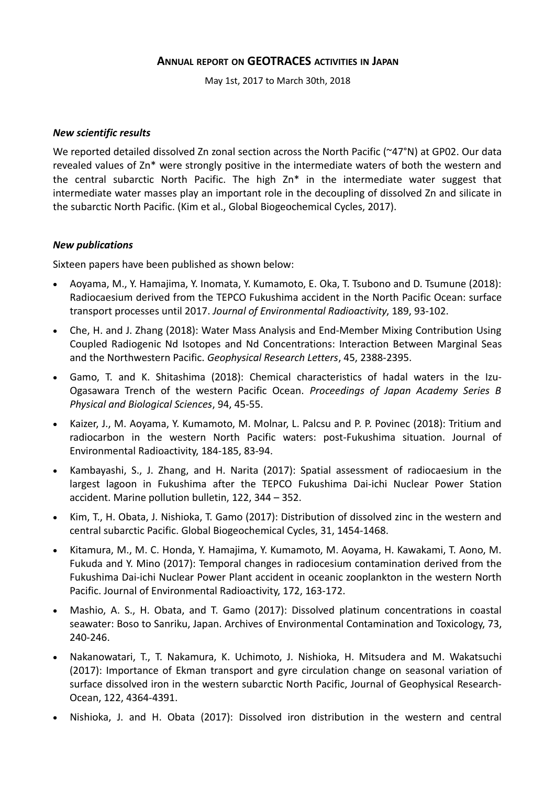# **ANNUAL REPORT ON GEOTRACES ACTIVITIES IN JAPAN**

May 1st, 2017 to March 30th, 2018

### *New scientific results*

We reported detailed dissolved Zn zonal section across the North Pacific (~47°N) at GP02. Our data revealed values of Zn\* were strongly positive in the intermediate waters of both the western and the central subarctic North Pacific. The high Zn\* in the intermediate water suggest that intermediate water masses play an important role in the decoupling of dissolved Zn and silicate in the subarctic North Pacific. (Kim et al., Global Biogeochemical Cycles, 2017).

## *New publications*

Sixteen papers have been published as shown below:

- Aoyama, M., Y. Hamajima, Y. Inomata, Y. Kumamoto, E. Oka, T. Tsubono and D. Tsumune (2018): Radiocaesium derived from the TEPCO Fukushima accident in the North Pacific Ocean: surface transport processes until 2017. *Journal of Environmental Radioactivity*, 189, 93-102.
- Che, H. and J. Zhang (2018): Water Mass Analysis and End-Member Mixing Contribution Using Coupled Radiogenic Nd Isotopes and Nd Concentrations: Interaction Between Marginal Seas and the Northwestern Pacific. *Geophysical Research Letters*, 45, 2388-2395.
- Gamo, T. and K. Shitashima (2018): Chemical characteristics of hadal waters in the Izu-Ogasawara Trench of the western Pacific Ocean. *Proceedings of Japan Academy Series B Physical and Biological Sciences*, 94, 45-55.
- Kaizer, J., M. Aoyama, Y. Kumamoto, M. Molnar, L. Palcsu and P. P. Povinec (2018): Tritium and radiocarbon in the western North Pacific waters: post-Fukushima situation. Journal of Environmental Radioactivity, 184-185, 83-94.
- Kambayashi, S., J. Zhang, and H. Narita (2017): Spatial assessment of radiocaesium in the largest lagoon in Fukushima after the TEPCO Fukushima Dai-ichi Nuclear Power Station accident. Marine pollution bulletin, 122, 344 – 352.
- Kim, T., H. Obata, J. Nishioka, T. Gamo (2017): Distribution of dissolved zinc in the western and central subarctic Pacific. Global Biogeochemical Cycles, 31, 1454-1468.
- Kitamura, M., M. C. Honda, Y. Hamajima, Y. Kumamoto, M. Aoyama, H. Kawakami, T. Aono, M. Fukuda and Y. Mino (2017): Temporal changes in radiocesium contamination derived from the Fukushima Dai-ichi Nuclear Power Plant accident in oceanic zooplankton in the western North Pacific. Journal of Environmental Radioactivity, 172, 163-172.
- Mashio, A. S., H. Obata, and T. Gamo (2017): Dissolved platinum concentrations in coastal seawater: Boso to Sanriku, Japan. Archives of Environmental Contamination and Toxicology, 73, 240-246.
- Nakanowatari, T., T. Nakamura, K. Uchimoto, J. Nishioka, H. Mitsudera and M. Wakatsuchi (2017): Importance of Ekman transport and gyre circulation change on seasonal variation of surface dissolved iron in the western subarctic North Pacific, Journal of Geophysical Research-Ocean, 122, 4364-4391.
- Nishioka, J. and H. Obata (2017): Dissolved iron distribution in the western and central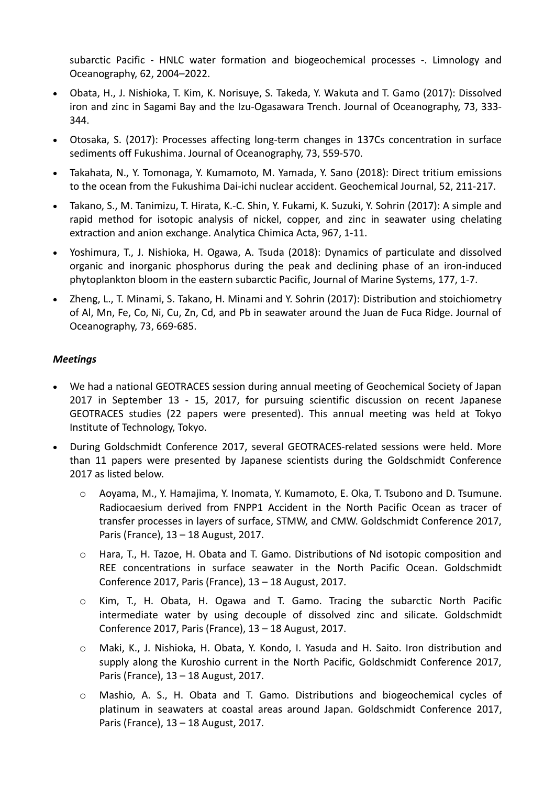subarctic Pacific - HNLC water formation and biogeochemical processes -. Limnology and Oceanography, 62, 2004–2022.

- Obata, H., J. Nishioka, T. Kim, K. Norisuye, S. Takeda, Y. Wakuta and T. Gamo (2017): Dissolved iron and zinc in Sagami Bay and the Izu-Ogasawara Trench. Journal of Oceanography, 73, 333- 344.
- Otosaka, S. (2017): Processes affecting long-term changes in 137Cs concentration in surface sediments off Fukushima. Journal of Oceanography, 73, 559-570.
- Takahata, N., Y. Tomonaga, Y. Kumamoto, M. Yamada, Y. Sano (2018): Direct tritium emissions to the ocean from the Fukushima Dai-ichi nuclear accident. Geochemical Journal, 52, 211-217.
- Takano, S., M. Tanimizu, T. Hirata, K.-C. Shin, Y. Fukami, K. Suzuki, Y. Sohrin (2017): A simple and rapid method for isotopic analysis of nickel, copper, and zinc in seawater using chelating extraction and anion exchange. Analytica Chimica Acta, 967, 1-11.
- Yoshimura, T., J. Nishioka, H. Ogawa, A. Tsuda (2018): Dynamics of particulate and dissolved organic and inorganic phosphorus during the peak and declining phase of an iron-induced phytoplankton bloom in the eastern subarctic Pacific, Journal of Marine Systems, 177, 1-7.
- Zheng, L., T. Minami, S. Takano, H. Minami and Y. Sohrin (2017): Distribution and stoichiometry of Al, Mn, Fe, Co, Ni, Cu, Zn, Cd, and Pb in seawater around the Juan de Fuca Ridge. Journal of Oceanography, 73, 669-685.

## *Meetings*

- We had a national GEOTRACES session during annual meeting of Geochemical Society of Japan 2017 in September 13 - 15, 2017, for pursuing scientific discussion on recent Japanese GEOTRACES studies (22 papers were presented). This annual meeting was held at Tokyo Institute of Technology, Tokyo.
- During Goldschmidt Conference 2017, several GEOTRACES-related sessions were held. More than 11 papers were presented by Japanese scientists during the Goldschmidt Conference 2017 as listed below.
	- o Aoyama, M., Y. Hamajima, Y. Inomata, Y. Kumamoto, E. Oka, T. Tsubono and D. Tsumune. Radiocaesium derived from FNPP1 Accident in the North Pacific Ocean as tracer of transfer processes in layers of surface, STMW, and CMW. Goldschmidt Conference 2017, Paris (France), 13 – 18 August, 2017.
	- o Hara, T., H. Tazoe, H. Obata and T. Gamo. Distributions of Nd isotopic composition and REE concentrations in surface seawater in the North Pacific Ocean. Goldschmidt Conference 2017, Paris (France), 13 – 18 August, 2017.
	- o Kim, T., H. Obata, H. Ogawa and T. Gamo. Tracing the subarctic North Pacific intermediate water by using decouple of dissolved zinc and silicate. Goldschmidt Conference 2017, Paris (France), 13 – 18 August, 2017.
	- o Maki, K., J. Nishioka, H. Obata, Y. Kondo, I. Yasuda and H. Saito. Iron distribution and supply along the Kuroshio current in the North Pacific, Goldschmidt Conference 2017, Paris (France), 13 – 18 August, 2017.
	- o Mashio, A. S., H. Obata and T. Gamo. Distributions and biogeochemical cycles of platinum in seawaters at coastal areas around Japan. Goldschmidt Conference 2017, Paris (France), 13 – 18 August, 2017.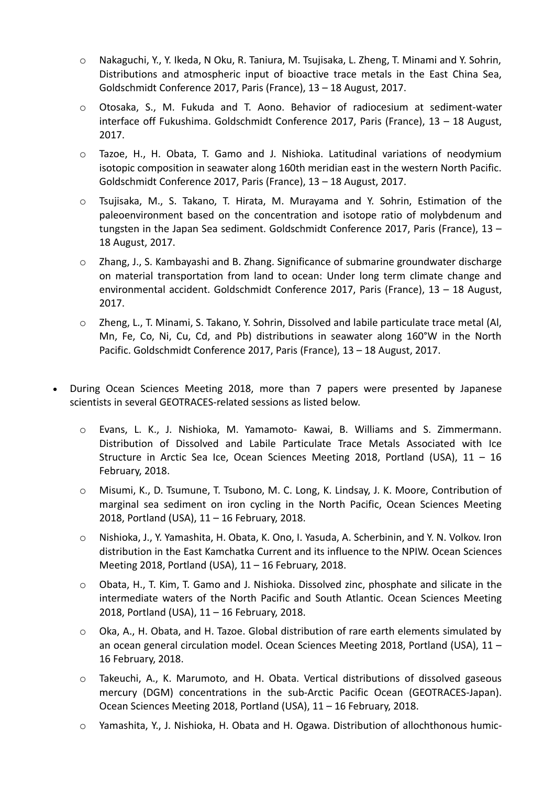- o Nakaguchi, Y., Y. Ikeda, N Oku, R. Taniura, M. Tsujisaka, L. Zheng, T. Minami and Y. Sohrin, Distributions and atmospheric input of bioactive trace metals in the East China Sea, Goldschmidt Conference 2017, Paris (France), 13 – 18 August, 2017.
- o Otosaka, S., M. Fukuda and T. Aono. Behavior of radiocesium at sediment-water interface off Fukushima. Goldschmidt Conference 2017, Paris (France), 13 – 18 August, 2017.
- o Tazoe, H., H. Obata, T. Gamo and J. Nishioka. Latitudinal variations of neodymium isotopic composition in seawater along 160th meridian east in the western North Pacific. Goldschmidt Conference 2017, Paris (France), 13 – 18 August, 2017.
- o Tsujisaka, M., S. Takano, T. Hirata, M. Murayama and Y. Sohrin, Estimation of the paleoenvironment based on the concentration and isotope ratio of molybdenum and tungsten in the Japan Sea sediment. Goldschmidt Conference 2017, Paris (France), 13 – 18 August, 2017.
- $\circ$  Zhang, J., S. Kambayashi and B. Zhang. Significance of submarine groundwater discharge on material transportation from land to ocean: Under long term climate change and environmental accident. Goldschmidt Conference 2017, Paris (France), 13 – 18 August, 2017.
- o Zheng, L., T. Minami, S. Takano, Y. Sohrin, Dissolved and labile particulate trace metal (Al, Mn, Fe, Co, Ni, Cu, Cd, and Pb) distributions in seawater along 160°W in the North Pacific. Goldschmidt Conference 2017, Paris (France), 13 – 18 August, 2017.
- During Ocean Sciences Meeting 2018, more than 7 papers were presented by Japanese scientists in several GEOTRACES-related sessions as listed below.
	- o Evans, L. K., J. Nishioka, M. Yamamoto- Kawai, B. Williams and S. Zimmermann. Distribution of Dissolved and Labile Particulate Trace Metals Associated with Ice Structure in Arctic Sea Ice, Ocean Sciences Meeting 2018, Portland (USA), 11 – 16 February, 2018.
	- o Misumi, K., D. Tsumune, T. Tsubono, M. C. Long, K. Lindsay, J. K. Moore, Contribution of marginal sea sediment on iron cycling in the North Pacific, Ocean Sciences Meeting 2018, Portland (USA), 11 – 16 February, 2018.
	- o Nishioka, J., Y. Yamashita, H. Obata, K. Ono, I. Yasuda, A. Scherbinin, and Y. N. Volkov. Iron distribution in the East Kamchatka Current and its influence to the NPIW. Ocean Sciences Meeting 2018, Portland (USA), 11 – 16 February, 2018.
	- o Obata, H., T. Kim, T. Gamo and J. Nishioka. Dissolved zinc, phosphate and silicate in the intermediate waters of the North Pacific and South Atlantic. Ocean Sciences Meeting 2018, Portland (USA), 11 – 16 February, 2018.
	- $\circ$  Oka, A., H. Obata, and H. Tazoe. Global distribution of rare earth elements simulated by an ocean general circulation model. Ocean Sciences Meeting 2018, Portland (USA), 11 – 16 February, 2018.
	- o Takeuchi, A., K. Marumoto, and H. Obata. Vertical distributions of dissolved gaseous mercury (DGM) concentrations in the sub-Arctic Pacific Ocean (GEOTRACES-Japan). Ocean Sciences Meeting 2018, Portland (USA), 11 – 16 February, 2018.
	- o Yamashita, Y., J. Nishioka, H. Obata and H. Ogawa. Distribution of allochthonous humic-